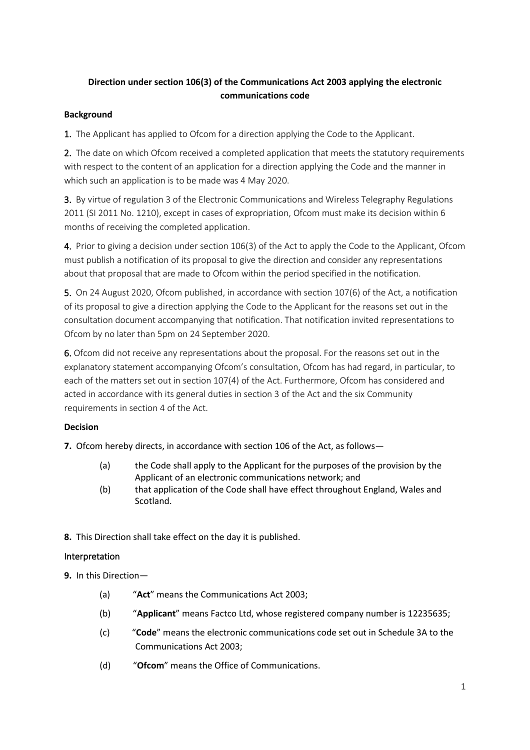# **Direction under section 106(3) of the Communications Act 2003 applying the electronic communications code**

### **Background**

1. The Applicant has applied to Ofcom for a direction applying the Code to the Applicant.

2. The date on which Ofcom received a completed application that meets the statutory requirements with respect to the content of an application for a direction applying the Code and the manner in which such an application is to be made was 4 May 2020.

3. By virtue of regulation 3 of the Electronic Communications and Wireless Telegraphy Regulations 2011 (SI 2011 No. 1210), except in cases of expropriation, Ofcom must make its decision within 6 months of receiving the completed application.

4. Prior to giving a decision under section 106(3) of the Act to apply the Code to the Applicant, Ofcom must publish a notification of its proposal to give the direction and consider any representations about that proposal that are made to Ofcom within the period specified in the notification.

5. On 24 August 2020, Ofcom published, in accordance with section 107(6) of the Act, a notification of its proposal to give a direction applying the Code to the Applicant for the reasons set out in the consultation document accompanying that notification. That notification invited representations to Ofcom by no later than 5pm on 24 September 2020.

6. Ofcom did not receive any representations about the proposal. For the reasons set out in the explanatory statement accompanying Ofcom's consultation, Ofcom has had regard, in particular, to each of the matters set out in section 107(4) of the Act. Furthermore, Ofcom has considered and acted in accordance with its general duties in section 3 of the Act and the six Community requirements in section 4 of the Act.

## **Decision**

**7.** Ofcom hereby directs, in accordance with section 106 of the Act, as follows—

- (a) the Code shall apply to the Applicant for the purposes of the provision by the Applicant of an electronic communications network; and
- (b) that application of the Code shall have effect throughout England, Wales and Scotland.

**8.** This Direction shall take effect on the day it is published.

### Interpretation

**9.** In this Direction—

- (a) "**Act**" means the Communications Act 2003;
- (b) "**Applicant**" means Factco Ltd, whose registered company number is 12235635;
- (c) "**Code**" means the electronic communications code set out in Schedule 3A to the Communications Act 2003;
- (d) "**Ofcom**" means the Office of Communications.